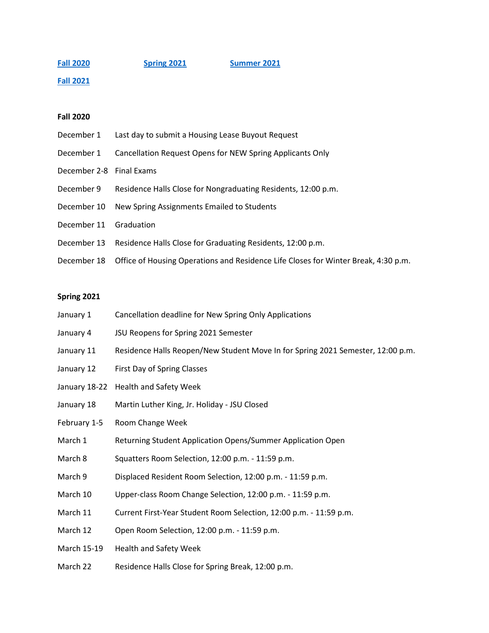**[Fall 2020](#page-0-0) [Spring 2021](#page-0-1) [Summer 2021](#page-1-0)**

**[Fall 2021](#page-2-0)**

## <span id="page-0-0"></span>**Fall 2020**

- December 1 Last day to submit a Housing Lease Buyout Request
- December 1 Cancellation Request Opens for NEW Spring Applicants Only
- December 2-8 Final Exams
- December 9 Residence Halls Close for Nongraduating Residents, 12:00 p.m.
- December 10 New Spring Assignments Emailed to Students
- December 11 Graduation
- December 13 Residence Halls Close for Graduating Residents, 12:00 p.m.
- December 18 Office of Housing Operations and Residence Life Closes for Winter Break, 4:30 p.m.

## <span id="page-0-1"></span>**Spring 2021**

- January 1 Cancellation deadline for New Spring Only Applications
- January 4 JSU Reopens for Spring 2021 Semester
- January 11 Residence Halls Reopen/New Student Move In for Spring 2021 Semester, 12:00 p.m.
- January 12 First Day of Spring Classes
- January 18-22 Health and Safety Week
- January 18 Martin Luther King, Jr. Holiday JSU Closed
- February 1-5 Room Change Week
- March 1 Returning Student Application Opens/Summer Application Open
- March 8 Squatters Room Selection, 12:00 p.m. 11:59 p.m.
- March 9 Displaced Resident Room Selection, 12:00 p.m. 11:59 p.m.
- March 10 Upper-class Room Change Selection, 12:00 p.m. 11:59 p.m.
- March 11 Current First-Year Student Room Selection, 12:00 p.m. 11:59 p.m.
- March 12 Open Room Selection, 12:00 p.m. 11:59 p.m.
- March 15-19 Health and Safety Week
- March 22 Residence Halls Close for Spring Break, 12:00 p.m.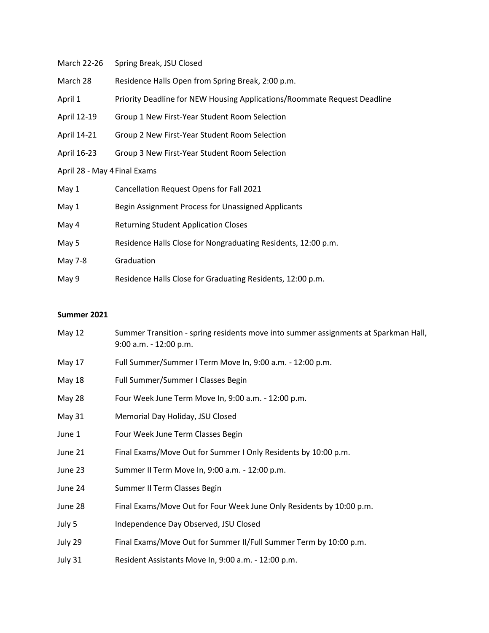- March 22-26 Spring Break, JSU Closed
- March 28 Residence Halls Open from Spring Break, 2:00 p.m.
- April 1 Priority Deadline for NEW Housing Applications/Roommate Request Deadline
- April 12-19 Group 1 New First-Year Student Room Selection
- April 14-21 Group 2 New First-Year Student Room Selection
- April 16-23 Group 3 New First-Year Student Room Selection
- April 28 May 4Final Exams

| May 1   | Cancellation Request Opens for Fall 2021                      |
|---------|---------------------------------------------------------------|
| May 1   | Begin Assignment Process for Unassigned Applicants            |
| May 4   | <b>Returning Student Application Closes</b>                   |
| May 5   | Residence Halls Close for Nongraduating Residents, 12:00 p.m. |
| May 7-8 | Graduation                                                    |
| May 9   | Residence Halls Close for Graduating Residents, 12:00 p.m.    |

## <span id="page-1-0"></span>**Summer 2021**

| May $12$ | Summer Transition - spring residents move into summer assignments at Sparkman Hall,<br>$9:00$ a.m. $-12:00$ p.m. |
|----------|------------------------------------------------------------------------------------------------------------------|
| May 17   | Full Summer/Summer I Term Move In, 9:00 a.m. - 12:00 p.m.                                                        |
| May 18   | Full Summer/Summer I Classes Begin                                                                               |
| May 28   | Four Week June Term Move In, 9:00 a.m. - 12:00 p.m.                                                              |
| May 31   | Memorial Day Holiday, JSU Closed                                                                                 |
| June 1   | Four Week June Term Classes Begin                                                                                |
| June 21  | Final Exams/Move Out for Summer I Only Residents by 10:00 p.m.                                                   |
| June 23  | Summer II Term Move In, 9:00 a.m. - 12:00 p.m.                                                                   |
| June 24  | Summer II Term Classes Begin                                                                                     |
| June 28  | Final Exams/Move Out for Four Week June Only Residents by 10:00 p.m.                                             |
| July 5   | Independence Day Observed, JSU Closed                                                                            |
| July 29  | Final Exams/Move Out for Summer II/Full Summer Term by 10:00 p.m.                                                |
| July 31  | Resident Assistants Move In, 9:00 a.m. - 12:00 p.m.                                                              |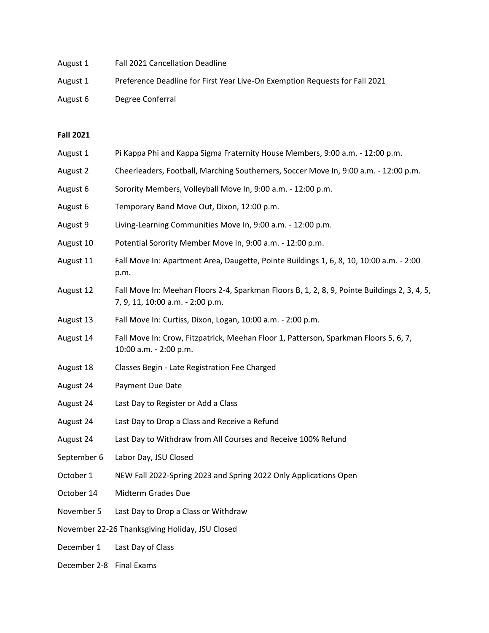August 1 Fall 2021 Cancellation Deadline August 1 Preference Deadline for First Year Live-On Exemption Requests for Fall 2021 August 6 Degree Conferral

## <span id="page-2-0"></span>**Fall 2021**

- August 1 Pi Kappa Phi and Kappa Sigma Fraternity House Members, 9:00 a.m. 12:00 p.m.
- August 2 Cheerleaders, Football, Marching Southerners, Soccer Move In, 9:00 a.m. 12:00 p.m.
- August 6 Sorority Members, Volleyball Move In, 9:00 a.m. 12:00 p.m.
- August 6 Temporary Band Move Out, Dixon, 12:00 p.m.
- August 9 Living-Learning Communities Move In, 9:00 a.m. 12:00 p.m.
- August 10 Potential Sorority Member Move In, 9:00 a.m. 12:00 p.m.
- August 11 Fall Move In: Apartment Area, Daugette, Pointe Buildings 1, 6, 8, 10, 10:00 a.m. 2:00 p.m.
- August 12 Fall Move In: Meehan Floors 2-4, Sparkman Floors B, 1, 2, 8, 9, Pointe Buildings 2, 3, 4, 5, 7, 9, 11, 10:00 a.m. - 2:00 p.m.
- August 13 Fall Move In: Curtiss, Dixon, Logan, 10:00 a.m. 2:00 p.m.
- August 14 Fall Move In: Crow, Fitzpatrick, Meehan Floor 1, Patterson, Sparkman Floors 5, 6, 7, 10:00 a.m. - 2:00 p.m.
- August 18 Classes Begin Late Registration Fee Charged
- August 24 Payment Due Date
- August 24 Last Day to Register or Add a Class
- August 24 Last Day to Drop a Class and Receive a Refund
- August 24 Last Day to Withdraw from All Courses and Receive 100% Refund
- September 6 Labor Day, JSU Closed
- October 1 NEW Fall 2022-Spring 2023 and Spring 2022 Only Applications Open
- October 14 Midterm Grades Due
- November 5 Last Day to Drop a Class or Withdraw
- November 22-26 Thanksgiving Holiday, JSU Closed
- December 1 Last Day of Class
- December 2-8 Final Exams